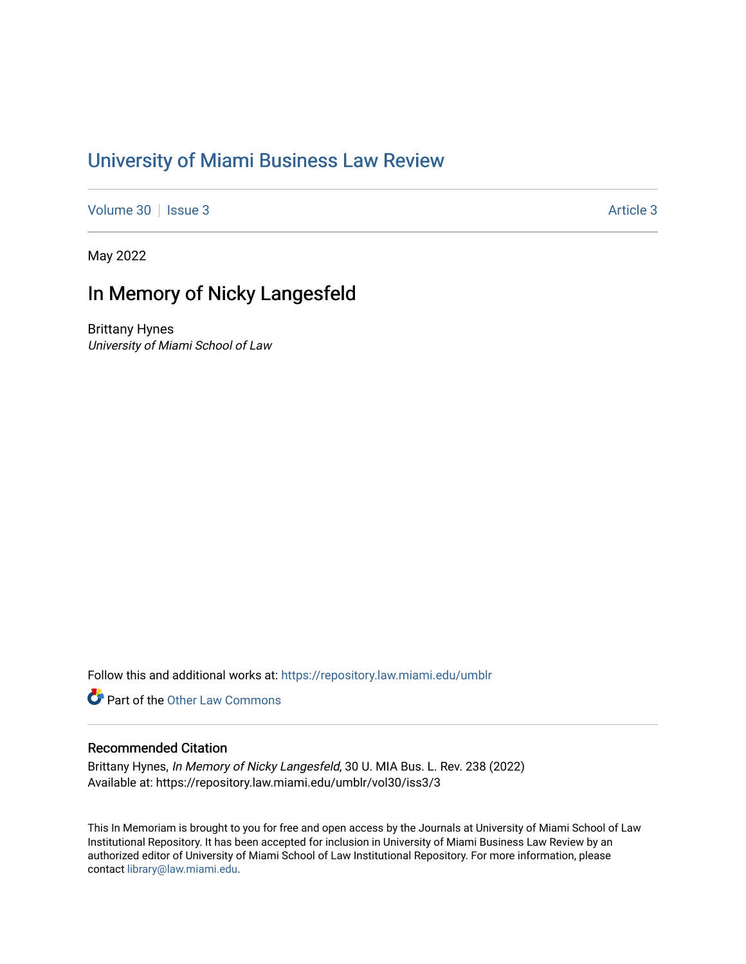## [University of Miami Business Law Review](https://repository.law.miami.edu/umblr)

[Volume 30](https://repository.law.miami.edu/umblr/vol30) | [Issue 3](https://repository.law.miami.edu/umblr/vol30/iss3) [Article 3](https://repository.law.miami.edu/umblr/vol30/iss3/3) Article 3

May 2022

## In Memory of Nicky Langesfeld

Brittany Hynes University of Miami School of Law

Follow this and additional works at: [https://repository.law.miami.edu/umblr](https://repository.law.miami.edu/umblr?utm_source=repository.law.miami.edu%2Fumblr%2Fvol30%2Fiss3%2F3&utm_medium=PDF&utm_campaign=PDFCoverPages) 

**P** Part of the Other Law Commons

## Recommended Citation

Brittany Hynes, In Memory of Nicky Langesfeld, 30 U. MIA Bus. L. Rev. 238 (2022) Available at: https://repository.law.miami.edu/umblr/vol30/iss3/3

This In Memoriam is brought to you for free and open access by the Journals at University of Miami School of Law Institutional Repository. It has been accepted for inclusion in University of Miami Business Law Review by an authorized editor of University of Miami School of Law Institutional Repository. For more information, please contact [library@law.miami.edu](mailto:library@law.miami.edu).